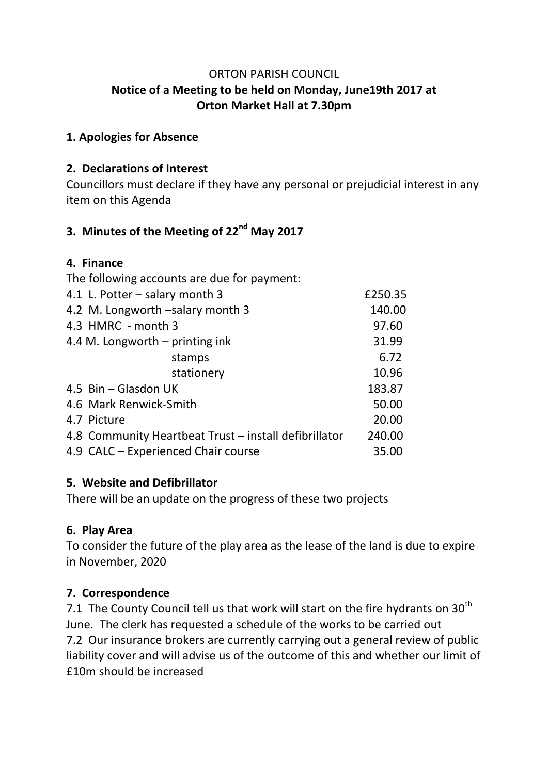#### ORTON PARISH COUNCIL **Notice of a Meeting to be held on Monday, June19th 2017 at Orton Market Hall at 7.30pm**

#### **1. Apologies for Absence**

### **2. Declarations of Interest**

Councillors must declare if they have any personal or prejudicial interest in any item on this Agenda

# **3. Minutes of the Meeting of 22nd May 2017**

#### **4. Finance**

| The following accounts are due for payment:           |         |
|-------------------------------------------------------|---------|
| 4.1 L. Potter – salary month 3                        | £250.35 |
| 4.2 M. Longworth -salary month 3                      | 140.00  |
| 4.3 HMRC - month 3                                    | 97.60   |
| 4.4 M. Longworth – printing ink                       | 31.99   |
| stamps                                                | 6.72    |
| stationery                                            | 10.96   |
| 4.5 Bin - Glasdon UK                                  | 183.87  |
| 4.6 Mark Renwick-Smith                                | 50.00   |
| 4.7 Picture                                           | 20.00   |
| 4.8 Community Heartbeat Trust – install defibrillator | 240.00  |
| 4.9 CALC - Experienced Chair course                   | 35.00   |

### **5. Website and Defibrillator**

There will be an update on the progress of these two projects

### **6. Play Area**

To consider the future of the play area as the lease of the land is due to expire in November, 2020

### **7. Correspondence**

7.1 The County Council tell us that work will start on the fire hydrants on  $30<sup>th</sup>$ June. The clerk has requested a schedule of the works to be carried out 7.2 Our insurance brokers are currently carrying out a general review of public liability cover and will advise us of the outcome of this and whether our limit of £10m should be increased